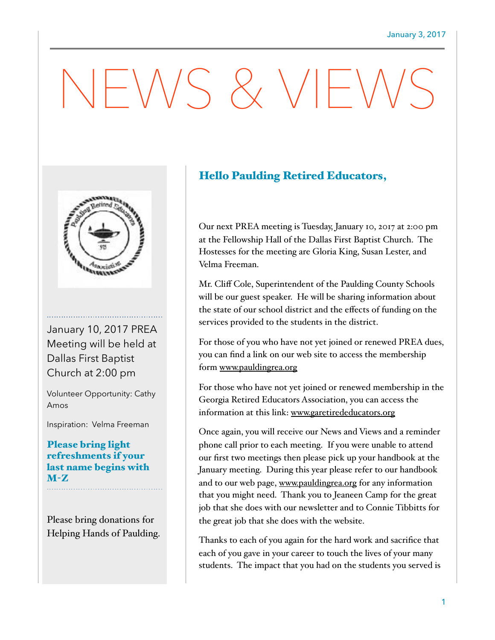# $-\sqrt{V}S \& VF'$



January 10, 2017 PREA Meeting will be held at Dallas First Baptist Church at 2:00 pm

Volunteer Opportunity: Cathy Amos

Inspiration: Velma Freeman

### Please bring light refreshments if your last name begins with M-Z

Please bring donations for Helping Hands of Paulding.

## Hello Paulding Retired Educators,

Our next PREA meeting is Tuesday, January 10, 2017 at 2:00 pm at the Fellowship Hall of the Dallas First Baptist Church. The Hostesses for the meeting are Gloria King, Susan Lester, and Velma Freeman.

Mr. Cliff Cole, Superintendent of the Paulding County Schools will be our guest speaker. He will be sharing information about the state of our school district and the effects of funding on the services provided to the students in the district.

For those of you who have not yet joined or renewed PREA dues, you can find a link on our web site to access the membership form [www.pauldingrea.org](http://www.pauldingrea.org) 

For those who have not yet joined or renewed membership in the Georgia Retired Educators Association, you can access the information at this link: [www.garetirededucators.org](http://www.garetirededucators.org)

Once again, you will receive our News and Views and a reminder phone call prior to each meeting. If you were unable to attend our first two meetings then please pick up your handbook at the January meeting. During this year please refer to our handbook and to our web page, [www.pauldingrea.org](http://www.pauldingrea.org) for any information that you might need. Thank you to Jeaneen Camp for the great job that she does with our newsletter and to Connie Tibbitts for the great job that she does with the website.

Thanks to each of you again for the hard work and sacrifice that each of you gave in your career to touch the lives of your many students. The impact that you had on the students you served is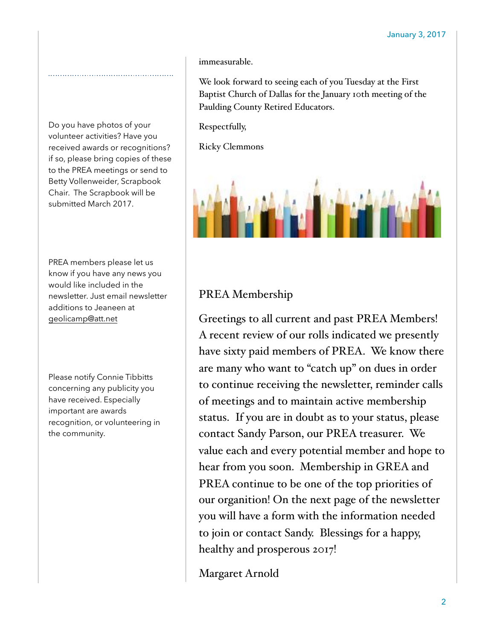immeasurable.

We look forward to seeing each of you Tuesday at the First Baptist Church of Dallas for the January 10th meeting of the Paulding County Retired Educators.

Respectfully,

Ricky Clemmons



#### PREA members please let us know if you have any news you would like included in the newsletter. Just email newsletter additions to Jeaneen at [geolicamp@att.net](mailto:geolicamp@att.net)

Do you have photos of your volunteer activities? Have you received awards or recognitions? if so, please bring copies of these to the PREA meetings or send to Betty Vollenweider, Scrapbook Chair. The Scrapbook will be submitted March 2017.

Please notify Connie Tibbitts concerning any publicity you have received. Especially important are awards recognition, or volunteering in the community.

## PREA Membership

Greetings to all current and past PREA Members! A recent review of our rolls indicated we presently have sixty paid members of PREA. We know there are many who want to "catch up" on dues in order to continue receiving the newsletter, reminder calls of meetings and to maintain active membership status. If you are in doubt as to your status, please contact Sandy Parson, our PREA treasurer. We value each and every potential member and hope to hear from you soon. Membership in GREA and PREA continue to be one of the top priorities of our organition! On the next page of the newsletter you will have a form with the information needed to join or contact Sandy. Blessings for a happy, healthy and prosperous 2017!

Margaret Arnold